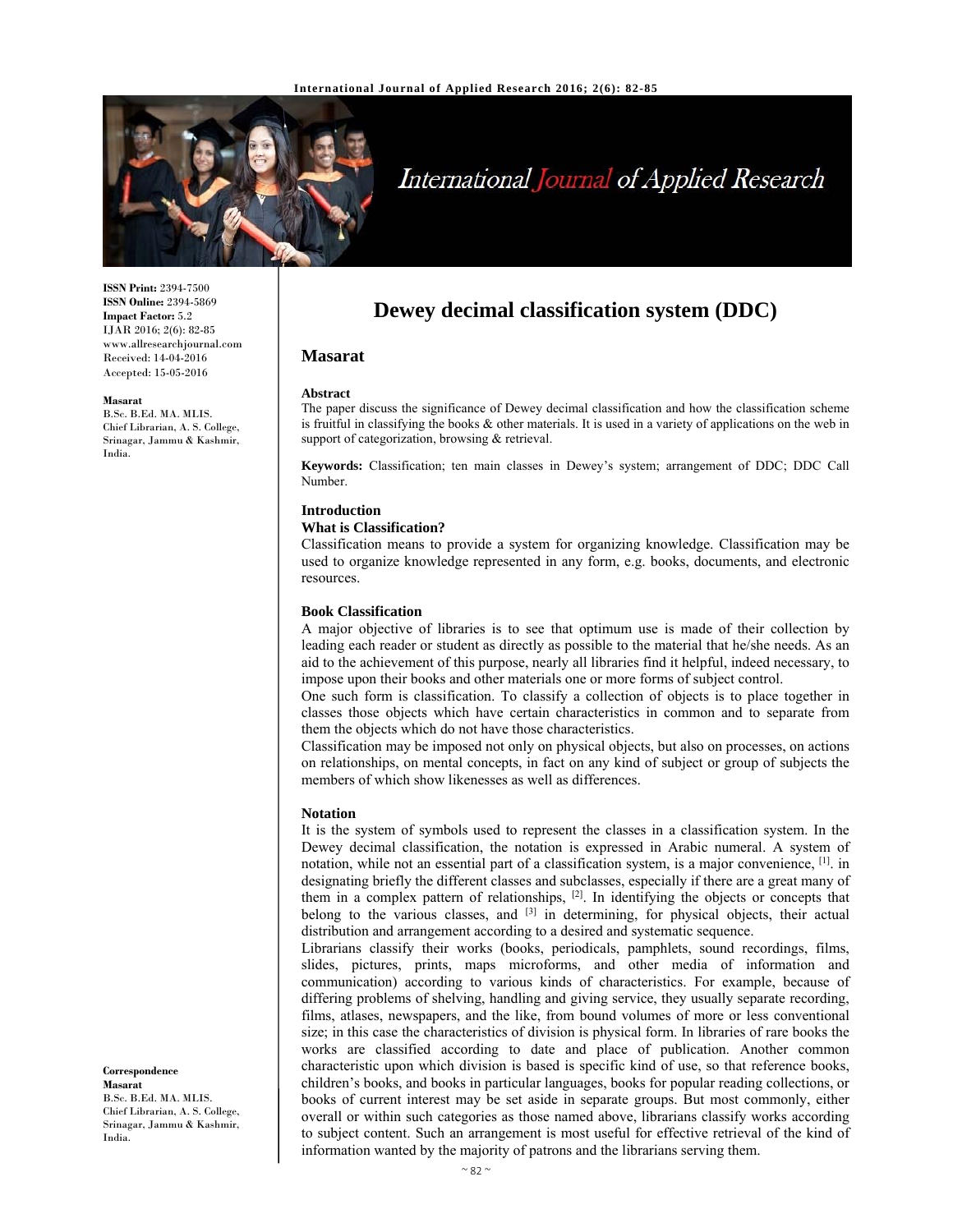

# International Journal of Applied Research

**ISSN Print:** 2394-7500 **ISSN Online:** 2394-5869 **Impact Factor:** 5.2 IJAR 2016; 2(6): 82-85 www.allresearchjournal.com Received: 14-04-2016 Accepted: 15-05-2016

#### **Masarat**

B.Sc. B.Ed. MA. MLIS. Chief Librarian, A. S. College, Srinagar, Jammu & Kashmir, India.

**Dewey decimal classification system (DDC)** 

## **Masarat**

#### **Abstract**

The paper discuss the significance of Dewey decimal classification and how the classification scheme is fruitful in classifying the books & other materials. It is used in a variety of applications on the web in support of categorization, browsing & retrieval.

**Keywords:** Classification; ten main classes in Dewey's system; arrangement of DDC; DDC Call Number.

# **Introduction**

## **What is Classification?**

Classification means to provide a system for organizing knowledge. Classification may be used to organize knowledge represented in any form, e.g. books, documents, and electronic resources.

### **Book Classification**

A major objective of libraries is to see that optimum use is made of their collection by leading each reader or student as directly as possible to the material that he/she needs. As an aid to the achievement of this purpose, nearly all libraries find it helpful, indeed necessary, to impose upon their books and other materials one or more forms of subject control.

One such form is classification. To classify a collection of objects is to place together in classes those objects which have certain characteristics in common and to separate from them the objects which do not have those characteristics.

Classification may be imposed not only on physical objects, but also on processes, on actions on relationships, on mental concepts, in fact on any kind of subject or group of subjects the members of which show likenesses as well as differences.

## **Notation**

It is the system of symbols used to represent the classes in a classification system. In the Dewey decimal classification, the notation is expressed in Arabic numeral. A system of notation, while not an essential part of a classification system, is a major convenience, [1]. in designating briefly the different classes and subclasses, especially if there are a great many of them in a complex pattern of relationships, [2]. In identifying the objects or concepts that belong to the various classes, and <sup>[3]</sup> in determining, for physical objects, their actual distribution and arrangement according to a desired and systematic sequence.

Librarians classify their works (books, periodicals, pamphlets, sound recordings, films, slides, pictures, prints, maps microforms, and other media of information and communication) according to various kinds of characteristics. For example, because of differing problems of shelving, handling and giving service, they usually separate recording, films, atlases, newspapers, and the like, from bound volumes of more or less conventional size; in this case the characteristics of division is physical form. In libraries of rare books the works are classified according to date and place of publication. Another common characteristic upon which division is based is specific kind of use, so that reference books, children's books, and books in particular languages, books for popular reading collections, or books of current interest may be set aside in separate groups. But most commonly, either overall or within such categories as those named above, librarians classify works according to subject content. Such an arrangement is most useful for effective retrieval of the kind of information wanted by the majority of patrons and the librarians serving them.

#### **Correspondence Masarat**  B.Sc. B.Ed. MA. MLIS. Chief Librarian, A. S. College, Srinagar, Jammu & Kashmir,

India.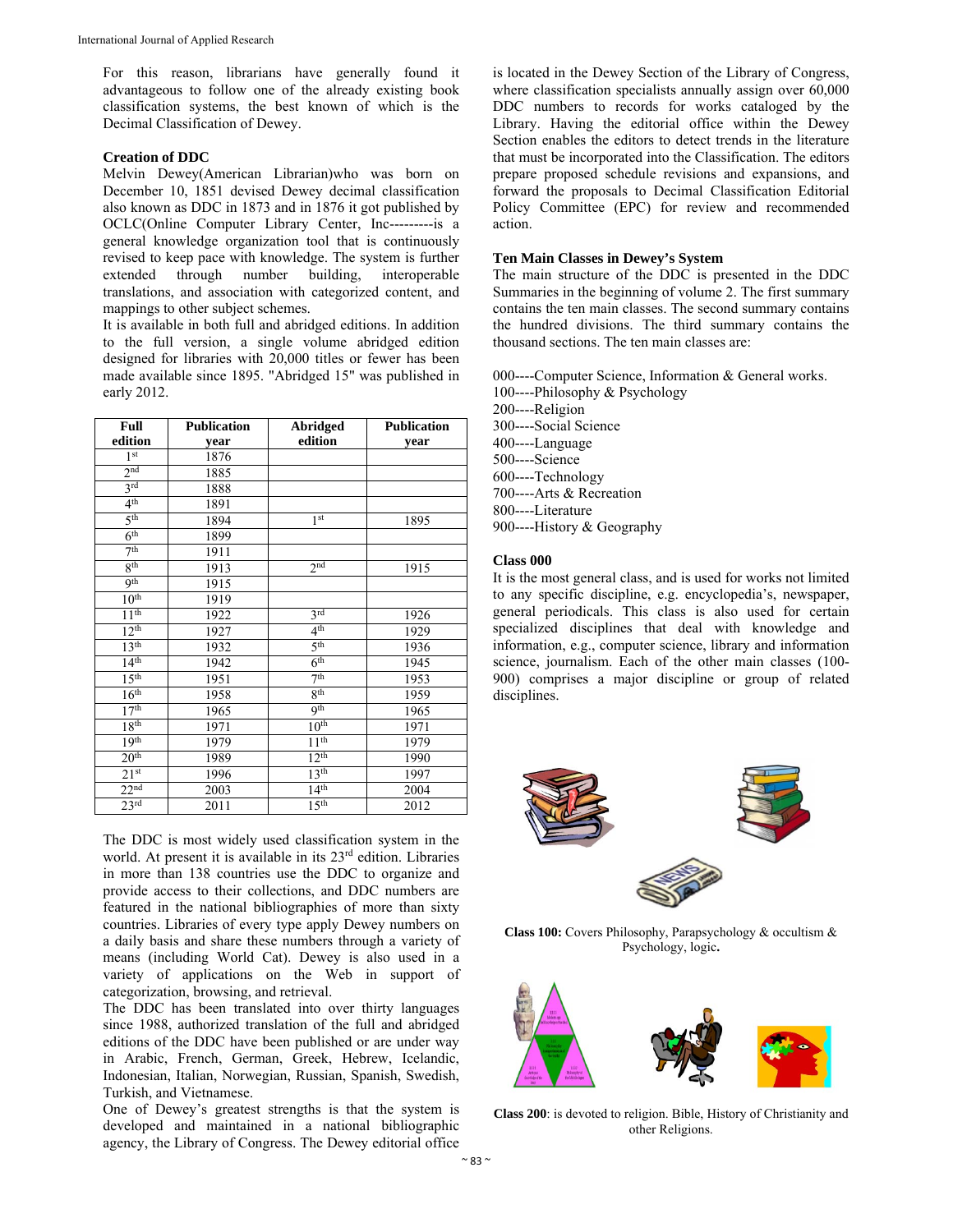For this reason, librarians have generally found it advantageous to follow one of the already existing book classification systems, the best known of which is the Decimal Classification of Dewey.

## **Creation of DDC**

Melvin Dewey(American Librarian)who was born on December 10, 1851 devised Dewey decimal classification also known as DDC in 1873 and in 1876 it got published by OCLC(Online Computer Library Center, Inc---------is a general knowledge organization tool that is continuously revised to keep pace with knowledge. The system is further extended through number building, interoperable translations, and association with categorized content, and mappings to other subject schemes.

It is available in both full and abridged editions. In addition to the full version, a single volume abridged edition designed for libraries with 20,000 titles or fewer has been made available since 1895. "Abridged 15" was published in early 2012.

| Full             | <b>Publication</b> | Abridged         | <b>Publication</b> |
|------------------|--------------------|------------------|--------------------|
| edition          | year               | edition          | year               |
| 1 <sup>st</sup>  | 1876               |                  |                    |
| 2 <sub>nd</sub>  | 1885               |                  |                    |
| 3rd              | 1888               |                  |                    |
| 4 <sup>th</sup>  | 1891               |                  |                    |
| 5 <sup>th</sup>  | 1894               | 1 <sup>st</sup>  | 1895               |
| 6 <sup>th</sup>  | 1899               |                  |                    |
| 7 <sup>th</sup>  | 1911               |                  |                    |
| 8 <sup>th</sup>  | 1913               | 2 <sub>nd</sub>  | 1915               |
| 9 <sup>th</sup>  | 1915               |                  |                    |
| 10 <sup>th</sup> | 1919               |                  |                    |
| 11 <sup>th</sup> | 1922               | 3rd              | 1926               |
| 12 <sup>th</sup> | 1927               | 4 <sup>th</sup>  | 1929               |
| 13 <sup>th</sup> | 1932               | 5 <sup>th</sup>  | 1936               |
| 14 <sup>th</sup> | 1942               | 6 <sup>th</sup>  | 1945               |
| 15 <sup>th</sup> | 1951               | 7 <sup>th</sup>  | 1953               |
| 16 <sup>th</sup> | 1958               | 8 <sup>th</sup>  | 1959               |
| 17 <sup>th</sup> | 1965               | <b>9th</b>       | 1965               |
| 18 <sup>th</sup> | 1971               | 10 <sup>th</sup> | 1971               |
| 19 <sup>th</sup> | 1979               | 11 <sup>th</sup> | 1979               |
| 20 <sup>th</sup> | 1989               | 12 <sup>th</sup> | 1990               |
| 21 <sup>st</sup> | 1996               | 13 <sup>th</sup> | 1997               |
| 22 <sup>nd</sup> | 2003               | 14 <sup>th</sup> | 2004               |
| $23^{\rm rd}$    | 2011               | 15 <sup>th</sup> | 2012               |

The DDC is most widely used classification system in the world. At present it is available in its 23rd edition. Libraries in more than 138 countries use the DDC to organize and provide access to their collections, and DDC numbers are featured in the national bibliographies of more than sixty countries. Libraries of every type apply Dewey numbers on a daily basis and share these numbers through a variety of means (including World Cat). Dewey is also used in a variety of applications on the Web in support of categorization, browsing, and retrieval.

The DDC has been translated into over thirty languages since 1988, authorized translation of the full and abridged editions of the DDC have been published or are under way in Arabic, French, German, Greek, Hebrew, Icelandic, Indonesian, Italian, Norwegian, Russian, Spanish, Swedish, Turkish, and Vietnamese.

One of Dewey's greatest strengths is that the system is developed and maintained in a national bibliographic agency, the Library of Congress. The Dewey editorial office is located in the Dewey Section of the Library of Congress, where classification specialists annually assign over 60,000 DDC numbers to records for works cataloged by the Library. Having the editorial office within the Dewey Section enables the editors to detect trends in the literature that must be incorporated into the Classification. The editors prepare proposed schedule revisions and expansions, and forward the proposals to Decimal Classification Editorial Policy Committee (EPC) for review and recommended action.

## **Ten Main Classes in Dewey's System**

The main structure of the DDC is presented in the DDC Summaries in the beginning of volume 2. The first summary contains the ten main classes. The second summary contains the hundred divisions. The third summary contains the thousand sections. The ten main classes are:

000----Computer Science, Information & General works. 100----Philosophy & Psychology 200----Religion 300----Social Science 400----Language 500----Science 600----Technology 700----Arts & Recreation 800----Literature 900----History & Geography

## **Class 000**

It is the most general class, and is used for works not limited to any specific discipline, e.g. encyclopedia's, newspaper, general periodicals. This class is also used for certain specialized disciplines that deal with knowledge and information, e.g., computer science, library and information science, journalism. Each of the other main classes (100- 900) comprises a major discipline or group of related disciplines.



**Class 100:** Covers Philosophy, Parapsychology & occultism & Psychology, logic**.**



**Class 200**: is devoted to religion. Bible, History of Christianity and other Religions.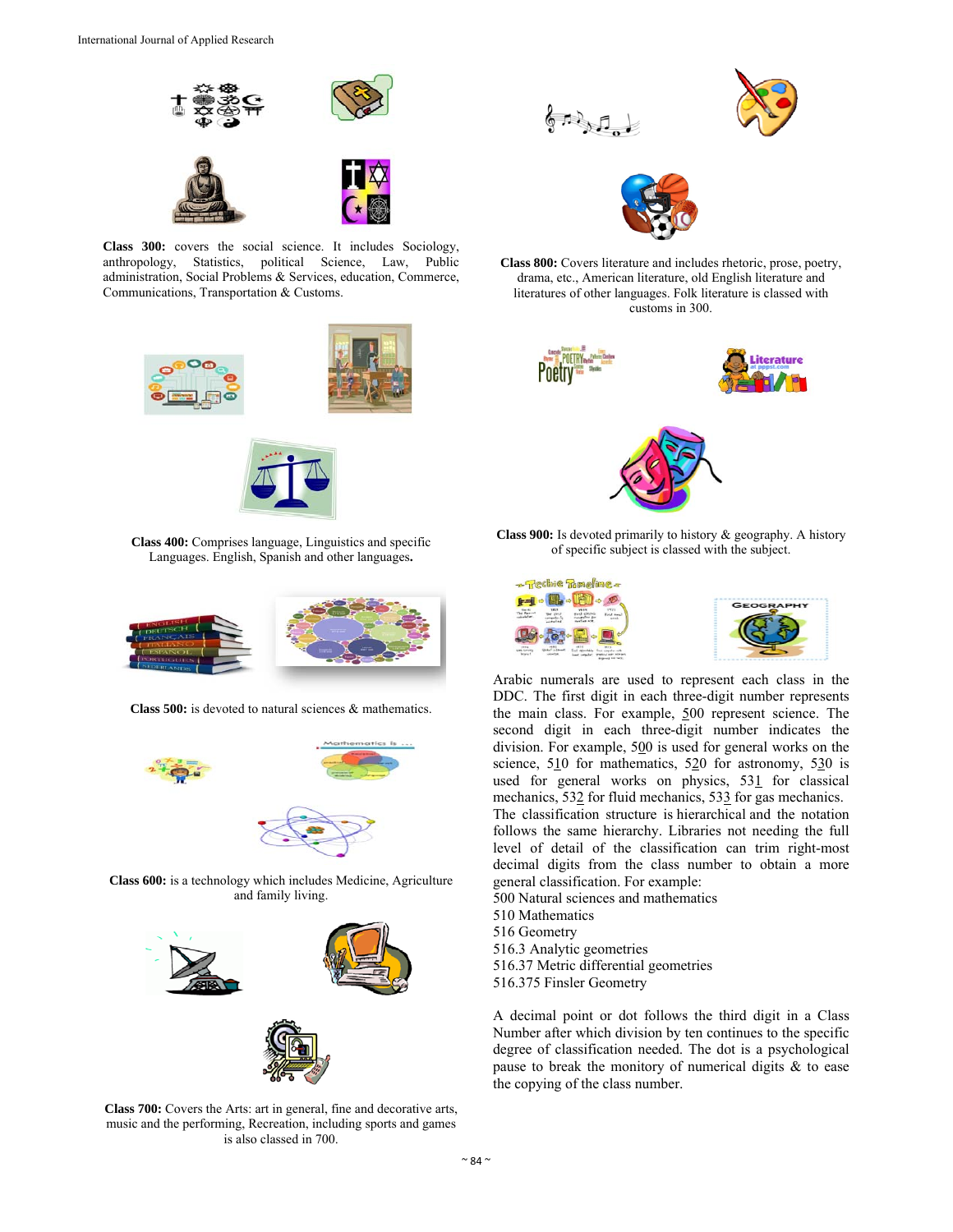

**Class 300:** covers the social science. It includes Sociology, anthropology, Statistics, political Science, Law, Public administration, Social Problems & Services, education, Commerce, Communications, Transportation & Customs.





**Class 400:** Comprises language, Linguistics and specific Languages. English, Spanish and other languages**.**



**Class 500:** is devoted to natural sciences & mathematics.



**Class 600:** is a technology which includes Medicine, Agriculture and family living.



**Class 700:** Covers the Arts: art in general, fine and decorative arts, music and the performing, Recreation, including sports and games is also classed in 700.







**Class 800:** Covers literature and includes rhetoric, prose, poetry, drama, etc., American literature, old English literature and literatures of other languages. Folk literature is classed with customs in 300.



**Class 900:** Is devoted primarily to history & geography. A history of specific subject is classed with the subject.



Arabic numerals are used to represent each class in the DDC. The first digit in each three-digit number represents the main class. For example, 500 represent science. The second digit in each three-digit number indicates the division. For example, 500 is used for general works on the science, 510 for mathematics, 520 for astronomy, 530 is used for general works on physics, 531 for classical mechanics, 532 for fluid mechanics, 533 for gas mechanics. The classification structure is hierarchical and the notation follows the same hierarchy. Libraries not needing the full level of detail of the classification can trim right-most decimal digits from the class number to obtain a more general classification. For example:

500 Natural sciences and mathematics 510 Mathematics 516 Geometry 516.3 Analytic geometries 516.37 Metric differential geometries 516.375 Finsler Geometry

A decimal point or dot follows the third digit in a Class Number after which division by ten continues to the specific degree of classification needed. The dot is a psychological pause to break the monitory of numerical digits & to ease the copying of the class number.